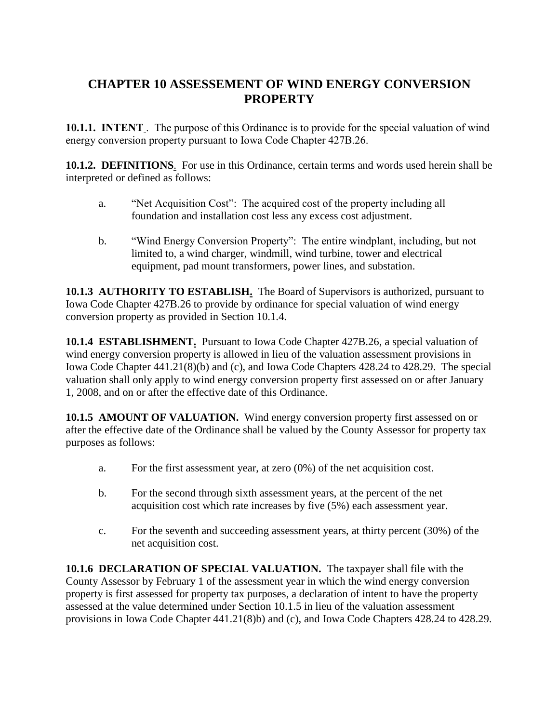## **CHAPTER 10 ASSESSEMENT OF WIND ENERGY CONVERSION PROPERTY**

**10.1.1. INTENT** . The purpose of this Ordinance is to provide for the special valuation of wind energy conversion property pursuant to Iowa Code Chapter 427B.26.

**10.1.2. DEFINITIONS**. For use in this Ordinance, certain terms and words used herein shall be interpreted or defined as follows:

- a. "Net Acquisition Cost": The acquired cost of the property including all foundation and installation cost less any excess cost adjustment.
- b. "Wind Energy Conversion Property": The entire windplant, including, but not limited to, a wind charger, windmill, wind turbine, tower and electrical equipment, pad mount transformers, power lines, and substation.

**10.1.3 AUTHORITY TO ESTABLISH.** The Board of Supervisors is authorized, pursuant to Iowa Code Chapter 427B.26 to provide by ordinance for special valuation of wind energy conversion property as provided in Section 10.1.4.

**10.1.4 ESTABLISHMENT.** Pursuant to Iowa Code Chapter 427B.26, a special valuation of wind energy conversion property is allowed in lieu of the valuation assessment provisions in Iowa Code Chapter 441.21(8)(b) and (c), and Iowa Code Chapters 428.24 to 428.29. The special valuation shall only apply to wind energy conversion property first assessed on or after January 1, 2008, and on or after the effective date of this Ordinance.

**10.1.5 AMOUNT OF VALUATION.** Wind energy conversion property first assessed on or after the effective date of the Ordinance shall be valued by the County Assessor for property tax purposes as follows:

- a. For the first assessment year, at zero (0%) of the net acquisition cost.
- b. For the second through sixth assessment years, at the percent of the net acquisition cost which rate increases by five (5%) each assessment year.
- c. For the seventh and succeeding assessment years, at thirty percent (30%) of the net acquisition cost.

**10.1.6 DECLARATION OF SPECIAL VALUATION.** The taxpayer shall file with the County Assessor by February 1 of the assessment year in which the wind energy conversion property is first assessed for property tax purposes, a declaration of intent to have the property assessed at the value determined under Section 10.1.5 in lieu of the valuation assessment provisions in Iowa Code Chapter 441.21(8)b) and (c), and Iowa Code Chapters 428.24 to 428.29.